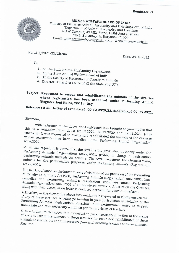

ANIMAL WELFARE BOARD OF INDIA Ministry of Fisheries, Animal Husbandry and Dairying, Govt. of India (Department of Animal Husbandry and Dairying) NIAW Campus, 42 Mile Stone, Delhi-Agra Highway NH-2, Ballabhgarh, Haryana-121004 Email: animalwelfareboard@gmail.com : Website: www.awbi.in

No.13-1/2021-22/Circus

To,

Date. 28.01.2022

- 1. All the State Animal Husbandry Department
- 2. All the State Animal Welfare Board of India
- 3. All the Society of Prevention of Cruelty to Animals
- 4. Director General of Police of all the State and UT's

## Subject. Requested to rescue and rehabilitated the animals of the circuses whose registration has been cancelled under Performing Animal (Registration) Rules, 2001 :- Reg.

## Refernce: AWBI Letter of even dated .02.12.2020,23.12.2020 and 02.08.2021.

Sir/mam,

With reference to the above cited subjected it is brought to your notice that this is a reminder letter dated 02.12.2020, 23.12.2020 and 02.08.2021 (copy enclosed). It was requested to rescue and rehabilitated the animals of the circuses whose registration has been cancelled under Performing Animal (Registration)

2. In this regard, it is stated that the AWBI is the prescribed authority under the Performing Animals (Registration) Rules, 2001, (PARR) in charge of registration performing animals through the country. The AWBI registered the circuses using animals for the performance purposes under Performing Animals (Registration)

3. The Board based on the latest reports of violation of the provision of the Prevention of Cruelty to Animals Act1960, Performing Animals (Registration) Rule 2001, has cancelled the performing animal's registration certificate under Performing Animals(Registration) Rule 2001 of 14 registered circuses. A list of all the Circuses along with their cancellation letter is enclosed herewith for your kind referral.

4. Therfore, in the view of the above information it is requested to kindly ensure that if any of these circuses is being performing in your jurisdiction in violation of the Performing Animals (Registration) Rule, 2001 their performance must be stopped immediate and take necessary action as per the provision of the law.

5. In addition, to the above it is requested to pass necessary direction to the erring officials to locate the animals of these circuses for recue and rehabilitated of these animals to ensure that no unnecessary pain and suffering is cause of these animals.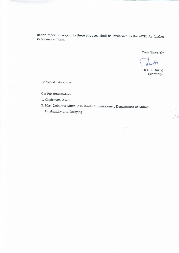action report in regard to these circuses shall be forwarded to the AWBI for further necessary actions.

Your Sincerely

(Dr.S.K Dutta) Secretary

Z

Enclosed : As above

Cc: For information

- 1. Chairman, AWBI
- 2. Mrs. Debolina Mitra, Assistant Commissioner, Department of Animal Husbandry and Dairying

ŧ.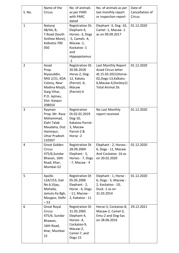| S. No.         | Name of the<br>Circus                                                                                                                     | No. of animals<br>as per PARC<br>with PARC<br>dated                                                                             | No. of animals as per<br>last monthly report<br>or inspection report                                                                            | Date of<br>Cancellation of<br>Circus |
|----------------|-------------------------------------------------------------------------------------------------------------------------------------------|---------------------------------------------------------------------------------------------------------------------------------|-------------------------------------------------------------------------------------------------------------------------------------------------|--------------------------------------|
| $\mathbf{1}$   | Nataraj<br>48/4A, B,<br>T.Road (South<br>Sinthee More),<br>Kolkatta-700<br>050                                                            | Registration Dt.<br>Elephant-4,<br>Horses -3, Dogs<br>-5, Camels -4,<br>Macaw -1,<br>Kockatoo -1<br>and<br>Hippopotamus<br>$-1$ | Elephant -3, Dog -10,<br>Camel -1, Macaw -1<br>as on 09.09.2017                                                                                 | 01.12.2020                           |
| $\overline{2}$ | Asiad<br>Prop.<br>Riyazuddin,<br>MIG 2/21, KDA<br>Colony, Near<br>Madina Mazjit,<br>Garg Vihar,<br>P.O. Jajmau,<br>Dist: Kanpur<br>208010 | Registration Dt.<br>20.06.2018<br>Horse-2, Dog-<br>12, Kakatu<br>(Parrot) -6,<br>Macaw<br>(Parrot)-4                            | Last Monthly Report<br><b>Asiad Circus letter</b><br>dt.15.03.2021(Horse-<br>02, Dogs-13, Kalkatu-<br>6, Macaw-4, Donkey 1)<br>Total Animal 26. | 01.12.2020                           |
| 3              | Rayman<br>Prop. Mr. Raza<br>Mohammad,<br>Elahi Talab<br>Maudaha, Dist:<br>Hamirpur,<br><b>Uttar Pradesh</b><br>210507                     | Registration<br>Dt.02.01.2019<br>Dog-10,<br>Kakatoo Parrot-<br>3, Macaw<br>Parrot-2 &<br>Horse-2                                | No Last Monthly<br>report received                                                                                                              | 01.12.2020                           |
| 4              | Great Golden<br>Circus<br>475/6,Sundar<br>Bhavan, 16th<br>Road, Khar,<br>Mumbai-52                                                        | <b>Registration Dt</b><br>28.09.2004<br>Elephant - 5,<br>Horses - 7, Dogs<br>- 7, Macaw - 4                                     | Elephant - 2, Horses -<br>6, Dogs - 11, Macaw<br>And Cockatoo -16 as<br>on 20.02.2020                                                           | 01.12.2020                           |
| 5              | Apollo<br>12A/153, Gali<br>No.6, Vijay,<br>Mohalla,<br>Jamulu Ka Bgh,<br>Maujpur, Delhi<br>$-53$                                          | <b>Registration Dt</b><br>05.05.2006<br>Elephant - 2,<br>Horse - 6, Dogs<br>- 11, Macow -<br>2, Kakatoo - 11                    | Elephant - 1, Horse -<br>6, Dogs - 5, Macow -<br>2, Kockatoo - 10,<br>Duck -1 as on<br>31.03.2014                                               | 01.12.2020                           |
| 6              | Great Royal<br>Circus<br>475/6, Sundar<br>Bhawan,<br>16th Road,<br>khar, Mumbai-<br>52                                                    | <b>Registration Dt</b><br>31.05.2005<br>Elephant-4,<br>Horses -4,<br>Cockatoo-9,<br>Macaw-2,<br>Camel-7, and<br>Dogs-15         | Horse-3, Cockatoo-8,<br>Macaw-2, Camel-3,<br>Emu-2 and Dog-5as<br>on 28.06.2016                                                                 | 29.12.2021                           |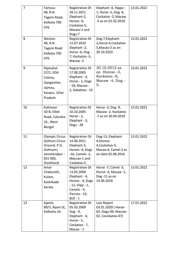| 7  | Famous<br>48, R.N.<br>Tagore Road,<br>Kolkata-700<br>076                                                      | <b>Registration Dt</b><br>28.11.2011<br>Elephant-2,<br>Horses -6,<br>Cockatoo-5,<br>Macaw-2 and<br>Dogs-7                                      | Elephant -4, Hippo -<br>1, Horse -5, Dog -6,<br>Cockatoo -2, Macaw<br>-3 as on 01.02.2016      | 13.01.2022 |
|----|---------------------------------------------------------------------------------------------------------------|------------------------------------------------------------------------------------------------------------------------------------------------|------------------------------------------------------------------------------------------------|------------|
| 8  | Weston<br>48, R.N.<br><b>Tagore Road</b><br>Kolkata-700<br>076                                                | <b>Registration Dt</b><br>12.07.2010<br>Elephant-2,<br>Horse -6, Dog -<br>7, Kockatoo -5,<br>Macaw-2                                           | Dog-7, Elephant-<br>2, Horse-6. Cockatoo-<br>5, Macao-2 as on<br>30.10.2010                    | 13.01.2022 |
| 9  | Rajmahal<br>$2/21$ , KDA<br>Colony,<br>Gangavihar,<br>Jajmau,<br>Kanpur, Uttar<br>Pradesh                     | <b>Registration Dt</b><br>17.08.2005<br>Elephant - 4,<br>Horse - 2, Dogs<br>- 18, Macow -<br>2, Kakattoo - 10                                  | 30.10.2012 as<br>on Horese -3,<br>Kockatoo -8,<br>Macaw $-4$ , Dog $-$<br>5.                   | 13.01.2022 |
| 10 | Kohinoor<br>50-B, Elliot<br>Road, Calcutta-<br>16, West<br>Bengal                                             | <b>Registration Dt</b><br>10.10.2005<br>Horse - $2$ ,<br>Elephant - 3,<br>Dogs - 28                                                            | Horse -3, Dog -9,<br>Macaw -2, Kockatoo<br>-7 as on 30.04.2019                                 | 13.01.2022 |
| 11 | <b>Olympic Circus</b><br>Golmuri Circus<br>Ground, P.O.<br>Golmumi,<br>Jamsherdpur -<br>831 003,<br>Jharkhand | <b>Registration Dt</b><br>14.06.2011<br>Elephant-3,<br>Horses -4, Dogs<br>-16, Camels -2,<br>Maccao-1 and<br>Cackatoo-5.                       | Dog-13, Elephant-<br>4, Horese-<br>4, Cockatoo-3,<br>Macao-4, Camel-2 as<br>on date 02.08.2016 | 13.01.2022 |
| 12 | Amar<br>Chakorath,<br>Kulam,<br>Kozhikode<br>Kerala                                                           | <b>Registration Dt</b><br>13.05.2004<br>Elephant - 4,<br>Horses - 6, Dogs<br>$-12$ , Hipp $-1$ ,<br>Camels - 4,<br>Parrots - 10,<br>$Bull - 1$ | Horse -7, Camel -3,<br>Parrot -4, Macaw -1,<br>Dog-11 as on<br>14.06.2018                      | 13.01.2022 |
| 13 | Ajanta<br>89/3, Ripon St,<br>Kolkatta-16                                                                      | <b>Registration Dt</b><br>05.03.2009<br>$Dog - 9$ ,<br>Elephant - 4,<br>Horse - 5,<br>Cockatoo - 7,<br>Macao - 2                               | Last Report<br>03.01.2020 ( Horse-<br>03, Dogs-09, Macow-<br>02, Cocokatoo-07)                 | 17.01.2022 |